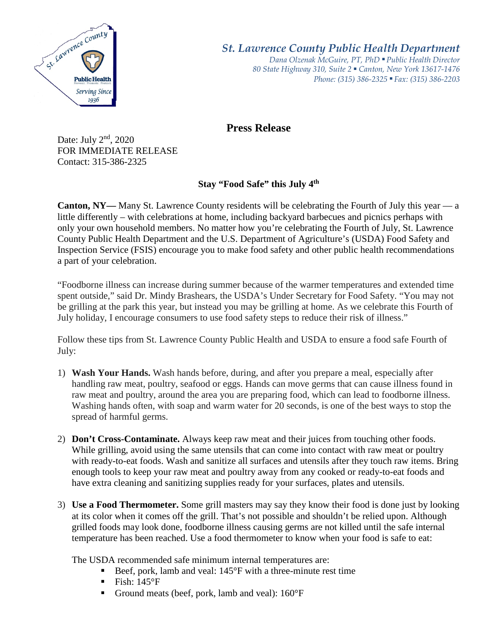

*St. Lawrence County Public Health Department*

*Dana Olzenak McGuire, PT, PhD ■ Public Health Director 80 State Highway 310, Suite 2 ■ Canton, New York 13617-1476 Phone: (315) 386-2325* ■ *Fax: (315) 386-2203*

## **Press Release**

Date: July 2nd, 2020 FOR IMMEDIATE RELEASE Contact: 315-386-2325

**Stay "Food Safe" this July 4th**

**Canton, NY—** Many St. Lawrence County residents will be celebrating the Fourth of July this year — a little differently – with celebrations at home, including backyard barbecues and picnics perhaps with only your own household members. No matter how you're celebrating the Fourth of July, St. Lawrence County Public Health Department and the U.S. Department of Agriculture's (USDA) Food Safety and Inspection Service (FSIS) encourage you to make food safety and other public health recommendations a part of your celebration.

"Foodborne illness can increase during summer because of the warmer temperatures and extended time spent outside," said Dr. Mindy Brashears, the USDA's Under Secretary for Food Safety. "You may not be grilling at the park this year, but instead you may be grilling at home. As we celebrate this Fourth of July holiday, I encourage consumers to use food safety steps to reduce their risk of illness."

Follow these tips from St. Lawrence County Public Health and USDA to ensure a food safe Fourth of July:

- 1) **Wash Your Hands.** Wash hands before, during, and after you prepare a meal, especially after handling raw meat, poultry, seafood or eggs. Hands can move germs that can cause illness found in raw meat and poultry, around the area you are preparing food, which can lead to foodborne illness. Washing hands often, with soap and warm water for 20 seconds, is one of the best ways to stop the spread of harmful germs.
- 2) **Don't Cross-Contaminate.** Always keep raw meat and their juices from touching other foods. While grilling, avoid using the same utensils that can come into contact with raw meat or poultry with ready-to-eat foods. Wash and sanitize all surfaces and utensils after they touch raw items. Bring enough tools to keep your raw meat and poultry away from any cooked or ready-to-eat foods and have extra cleaning and sanitizing supplies ready for your surfaces, plates and utensils.
- 3) **Use a Food Thermometer.** Some grill masters may say they know their food is done just by looking at its color when it comes off the grill. That's not possible and shouldn't be relied upon. Although grilled foods may look done, foodborne illness causing germs are not killed until the safe internal temperature has been reached. Use a food thermometer to know when your food is safe to eat:

The USDA recommended safe minimum internal temperatures are:

- Beef, pork, lamb and veal: 145°F with a three-minute rest time
- $\blacksquare$  Fish: 145°F
- Ground meats (beef, pork, lamb and veal):  $160^{\circ}F$